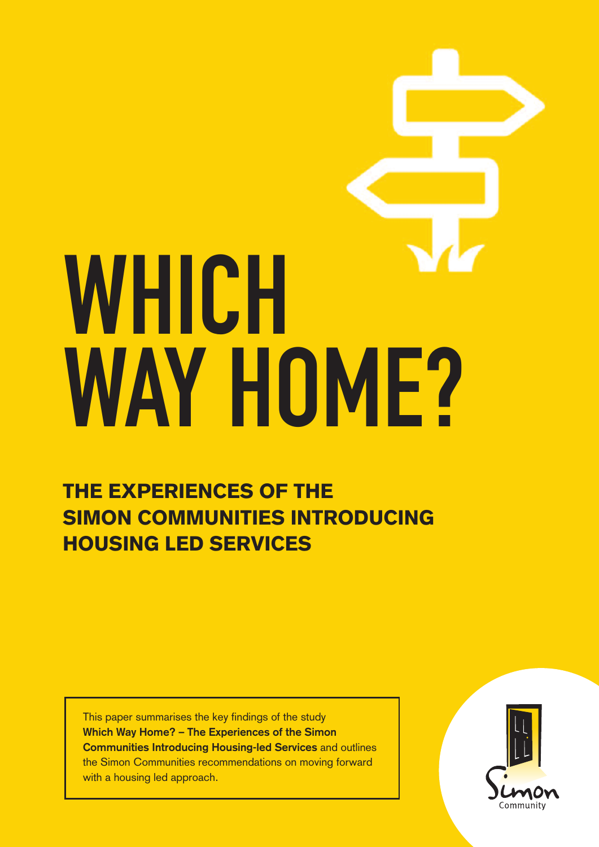# WHICH WAY HOME?

**THE EXPERIENCES OF THE SIMON COMMUNITIES INTRODUCING HOUSING LED SERVICES**

This paper summarises the key findings of the study **Which Way Home? – The Experiences of the Simon Communities Introducing Housing-led Services** and outlines the Simon Communities recommendations on moving forward with a housing led approach.

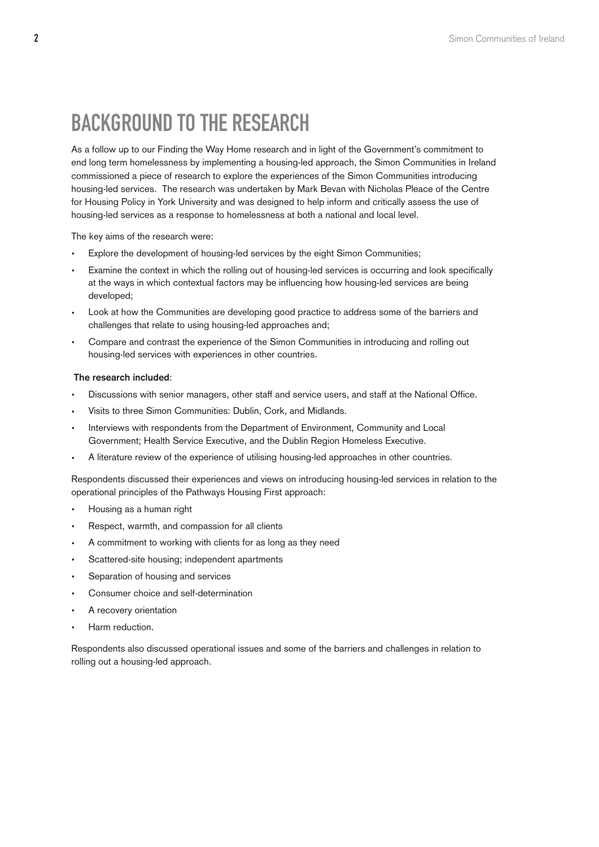# Background to the Research

As a follow up to our Finding the Way Home research and in light of the Government's commitment to end long term homelessness by implementing a housing-led approach, the Simon Communities in Ireland commissioned a piece of research to explore the experiences of the Simon Communities introducing housing-led services. The research was undertaken by Mark Bevan with Nicholas Pleace of the Centre for Housing Policy in York University and was designed to help inform and critically assess the use of housing-led services as a response to homelessness at both a national and local level.

The key aims of the research were:

- Explore the development of housing-led services by the eight Simon Communities;
- Examine the context in which the rolling out of housing-led services is occurring and look specifically at the ways in which contextual factors may be influencing how housing-led services are being developed;
- Look at how the Communities are developing good practice to address some of the barriers and challenges that relate to using housing-led approaches and;
- Compare and contrast the experience of the Simon Communities in introducing and rolling out housing-led services with experiences in other countries.

### **The research included**:

- Discussions with senior managers, other staff and service users, and staff at the National Office.
- Visits to three Simon Communities: Dublin, Cork, and Midlands.
- Interviews with respondents from the Department of Environment, Community and Local Government; Health Service Executive, and the Dublin Region Homeless Executive.
- A literature review of the experience of utilising housing-led approaches in other countries.

Respondents discussed their experiences and views on introducing housing-led services in relation to the operational principles of the Pathways Housing First approach:

- Housing as a human right
- Respect, warmth, and compassion for all clients
- A commitment to working with clients for as long as they need
- Scattered-site housing; independent apartments
- Separation of housing and services
- Consumer choice and self-determination
- A recovery orientation
- Harm reduction.

Respondents also discussed operational issues and some of the barriers and challenges in relation to rolling out a housing-led approach.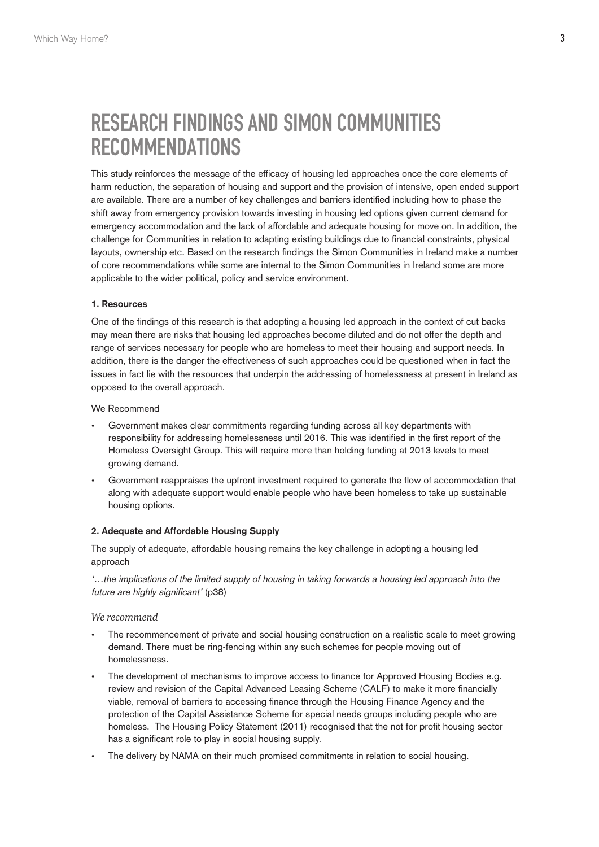# Research Findings and Simon Communities **RECOMMENDATIONS**

This study reinforces the message of the efficacy of housing led approaches once the core elements of harm reduction, the separation of housing and support and the provision of intensive, open ended support are available. There are a number of key challenges and barriers identified including how to phase the shift away from emergency provision towards investing in housing led options given current demand for emergency accommodation and the lack of affordable and adequate housing for move on. In addition, the challenge for Communities in relation to adapting existing buildings due to financial constraints, physical layouts, ownership etc. Based on the research findings the Simon Communities in Ireland make a number of core recommendations while some are internal to the Simon Communities in Ireland some are more applicable to the wider political, policy and service environment.

### **1. Resources**

One of the findings of this research is that adopting a housing led approach in the context of cut backs may mean there are risks that housing led approaches become diluted and do not offer the depth and range of services necessary for people who are homeless to meet their housing and support needs. In addition, there is the danger the effectiveness of such approaches could be questioned when in fact the issues in fact lie with the resources that underpin the addressing of homelessness at present in Ireland as opposed to the overall approach.

We Recommend

- Government makes clear commitments regarding funding across all key departments with responsibility for addressing homelessness until 2016. This was identified in the first report of the Homeless Oversight Group. This will require more than holding funding at 2013 levels to meet growing demand.
- Government reappraises the upfront investment required to generate the flow of accommodation that along with adequate support would enable people who have been homeless to take up sustainable housing options.

# **2. Adequate and Affordable Housing Supply**

The supply of adequate, affordable housing remains the key challenge in adopting a housing led approach

'…the implications of the limited supply of housing in taking forwards <sup>a</sup> housing led approach into the future are highly significant' (p38)

### *We recommend*

- The recommencement of private and social housing construction on a realistic scale to meet growing demand. There must be ring-fencing within any such schemes for people moving out of homelessness.
- The development of mechanisms to improve access to finance for Approved Housing Bodies e.g. review and revision of the Capital Advanced Leasing Scheme (CALF) to make it more financially viable, removal of barriers to accessing finance through the Housing Finance Agency and the protection of the Capital Assistance Scheme for special needs groups including people who are homeless. The Housing Policy Statement (2011) recognised that the not for profit housing sector has a significant role to play in social housing supply.
- The delivery by NAMA on their much promised commitments in relation to social housing.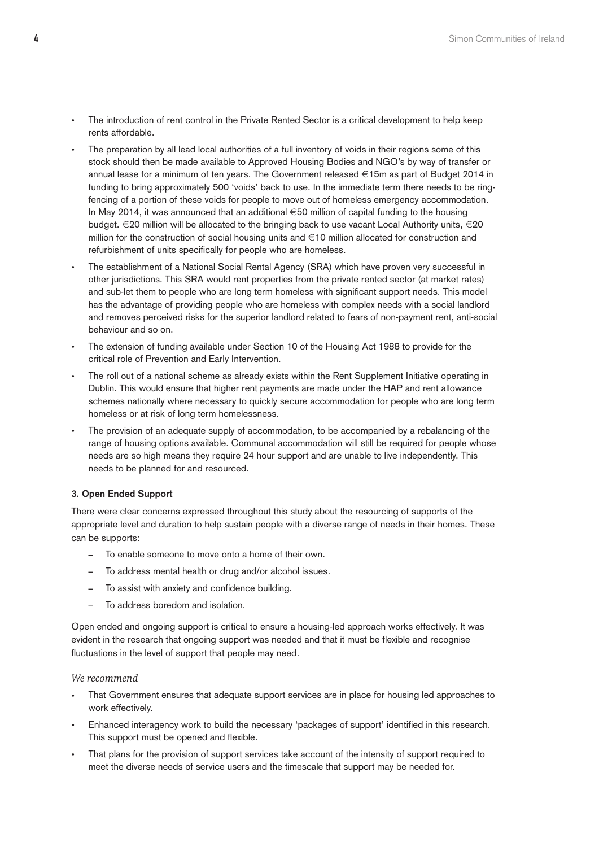- The introduction of rent control in the Private Rented Sector is a critical development to help keep rents affordable.
- The preparation by all lead local authorities of a full inventory of voids in their regions some of this stock should then be made available to Approved Housing Bodies and NGO's by way of transfer or annual lease for a minimum of ten years. The Government released €15m as part of Budget 2014 in funding to bring approximately 500 'voids' back to use. In the immediate term there needs to be ringfencing of a portion of these voids for people to move out of homeless emergency accommodation. In May 2014, it was announced that an additional €50 million of capital funding to the housing budget. €20 million will be allocated to the bringing back to use vacant Local Authority units, €20 million for the construction of social housing units and  $\in$ 10 million allocated for construction and refurbishment of units specifically for people who are homeless.
- The establishment of a National Social Rental Agency (SRA) which have proven very successful in other jurisdictions. This SRA would rent properties from the private rented sector (at market rates) and sub-let them to people who are long term homeless with significant support needs. This model has the advantage of providing people who are homeless with complex needs with a social landlord and removes perceived risks for the superior landlord related to fears of non-payment rent, anti-social behaviour and so on.
- The extension of funding available under Section 10 of the Housing Act 1988 to provide for the critical role of Prevention and Early Intervention.
- The roll out of a national scheme as already exists within the Rent Supplement Initiative operating in Dublin. This would ensure that higher rent payments are made under the HAP and rent allowance schemes nationally where necessary to quickly secure accommodation for people who are long term homeless or at risk of long term homelessness.
- The provision of an adequate supply of accommodation, to be accompanied by a rebalancing of the range of housing options available. Communal accommodation will still be required for people whose needs are so high means they require 24 hour support and are unable to live independently. This needs to be planned for and resourced.

# **3. Open Ended Support**

There were clear concerns expressed throughout this study about the resourcing of supports of the appropriate level and duration to help sustain people with a diverse range of needs in their homes. These can be supports:

- To enable someone to move onto a home of their own.
- To address mental health or drug and/or alcohol issues.
- To assist with anxiety and confidence building.
- To address boredom and isolation.

Open ended and ongoing support is critical to ensure a housing-led approach works effectively. It was evident in the research that ongoing support was needed and that it must be flexible and recognise fluctuations in the level of support that people may need.

### *We recommend*

- That Government ensures that adequate support services are in place for housing led approaches to work effectively.
- Enhanced interagency work to build the necessary 'packages of support' identified in this research. This support must be opened and flexible.
- That plans for the provision of support services take account of the intensity of support required to meet the diverse needs of service users and the timescale that support may be needed for.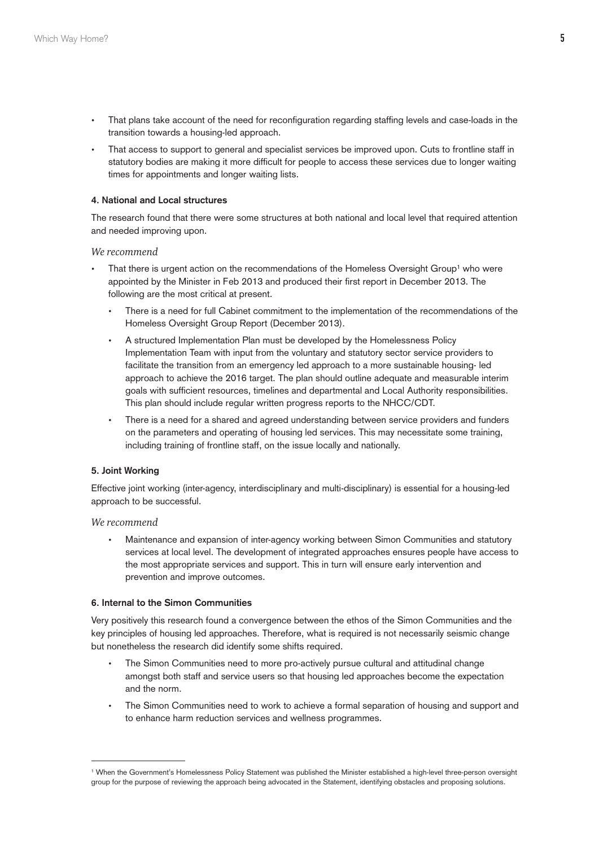- That plans take account of the need for reconfiguration regarding staffing levels and case-loads in the transition towards a housing-led approach.
- That access to support to general and specialist services be improved upon. Cuts to frontline staff in statutory bodies are making it more difficult for people to access these services due to longer waiting times for appointments and longer waiting lists.

### **4. National and Local structures**

The research found that there were some structures at both national and local level that required attention and needed improving upon.

### *We recommend*

- That there is urgent action on the recommendations of the Homeless Oversight Group<sup>1</sup> who were appointed by the Minister in Feb 2013 and produced their first report in December 2013. The following are the most critical at present.
	- There is a need for full Cabinet commitment to the implementation of the recommendations of the Homeless Oversight Group Report (December 2013).
	- A structured Implementation Plan must be developed by the Homelessness Policy Implementation Team with input from the voluntary and statutory sector service providers to facilitate the transition from an emergency led approach to a more sustainable housing- led approach to achieve the 2016 target. The plan should outline adequate and measurable interim goals with sufficient resources, timelines and departmental and Local Authority responsibilities. This plan should include regular written progress reports to the NHCC/CDT.
	- There is a need for a shared and agreed understanding between service providers and funders on the parameters and operating of housing led services. This may necessitate some training, including training of frontline staff, on the issue locally and nationally.

# **5. Joint Working**

Effective joint working (inter-agency, interdisciplinary and multi-disciplinary) is essential for a housing-led approach to be successful.

### *We recommend*

• Maintenance and expansion of inter-agency working between Simon Communities and statutory services at local level. The development of integrated approaches ensures people have access to the most appropriate services and support. This in turn will ensure early intervention and prevention and improve outcomes.

# **6. Internal to the Simon Communities**

Very positively this research found a convergence between the ethos of the Simon Communities and the key principles of housing led approaches. Therefore, what is required is not necessarily seismic change but nonetheless the research did identify some shifts required.

- The Simon Communities need to more pro-actively pursue cultural and attitudinal change amongst both staff and service users so that housing led approaches become the expectation and the norm.
- The Simon Communities need to work to achieve a formal separation of housing and support and to enhance harm reduction services and wellness programmes.

<sup>1</sup> When the Government's Homelessness Policy Statement was published the Minister established a high-level three-person oversight group for the purpose of reviewing the approach being advocated in the Statement, identifying obstacles and proposing solutions.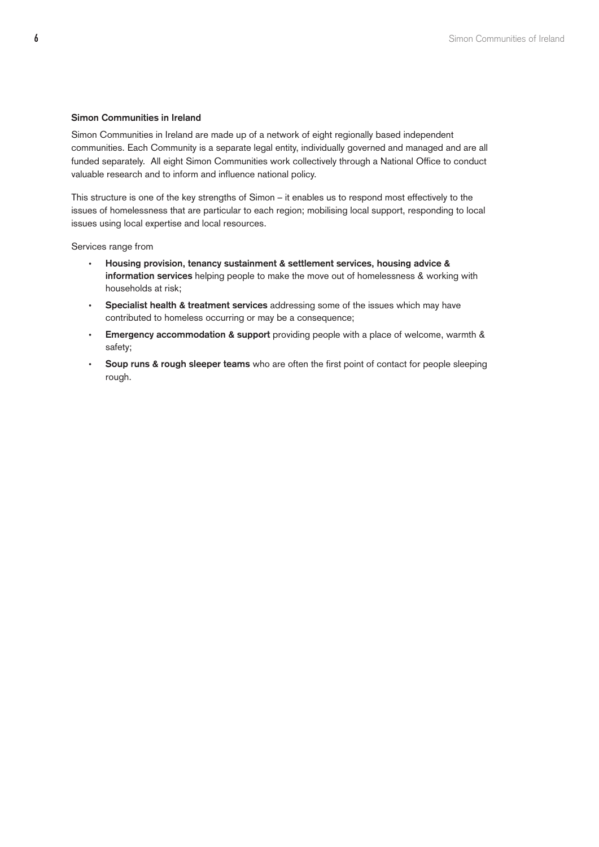### **Simon Communities in Ireland**

Simon Communities in Ireland are made up of a network of eight regionally based independent communities. Each Community is a separate legal entity, individually governed and managed and are all funded separately. All eight Simon Communities work collectively through a National Office to conduct valuable research and to inform and influence national policy.

This structure is one of the key strengths of Simon – it enables us to respond most effectively to the issues of homelessness that are particular to each region; mobilising local support, responding to local issues using local expertise and local resources.

Services range from

- **Housing provision, tenancy sustainment & settlement services, housing advice & information services** helping people to make the move out of homelessness & working with households at risk;
- **Specialist health & treatment services** addressing some of the issues which may have contributed to homeless occurring or may be a consequence;
- **Emergency accommodation & support** providing people with a place of welcome, warmth & safety;
- **Soup runs & rough sleeper teams** who are often the first point of contact for people sleeping rough.